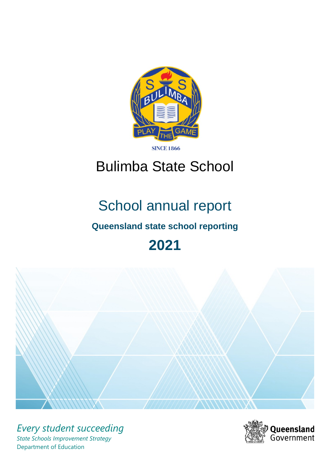

**SINCE 1866** 

# Bulimba State School

# School annual report

# **Queensland state school reporting**

# **2021**



*Every student succeeding State Schools Improvement Strategy* Department of Education

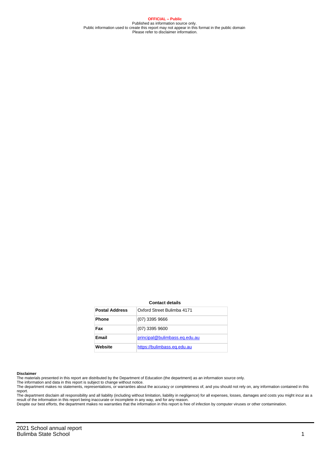**OFFICIAL – Public** Published as information source only. Public information used to create this report may not appear in this format in the public domain Please refer to disclaimer information.

#### **Contact details**

| <b>Postal Address</b> | Oxford Street Bulimba 4171    |
|-----------------------|-------------------------------|
| <b>Phone</b>          | $(07)$ 3395 9666              |
| Fax                   | $(07)$ 3395 9600              |
| <b>Email</b>          | principal@bulimbass.eq.edu.au |
| Website               | https://bulimbass.eq.edu.au   |

#### **Disclaimer**

The materials presented in this report are distributed by the Department of Education (the department) as an information source only.

The information and data in this report is subject to change without notice.<br>The department makes no statements, representations, or warranties about the accuracy or completeness of, and you should not rely on, any informa report.

The department disclaim all responsibility and all liability (including without limitation, liability in negligence) for all expenses, losses, damages and costs you might incur as a result of the information in this report being inaccurate or incomplete in any way, and for any reason. Despite our best efforts, the department makes no warranties that the information in this report is free of infection by computer viruses or other contamination.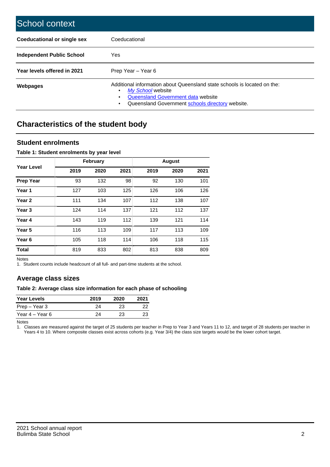| School context                   |                                                                                                                                                                                              |
|----------------------------------|----------------------------------------------------------------------------------------------------------------------------------------------------------------------------------------------|
| Coeducational or single sex      | Coeducational                                                                                                                                                                                |
| <b>Independent Public School</b> | Yes                                                                                                                                                                                          |
| Year levels offered in 2021      | Prep Year - Year 6                                                                                                                                                                           |
| Webpages                         | Additional information about Queensland state schools is located on the:<br>My School website<br>Queensland Government data website<br>Queensland Government schools directory website.<br>٠ |

# **Characteristics of the student body**

### **Student enrolments**

#### **Table 1: Student enrolments by year level**

|                   |      | <b>February</b> |      |      | <b>August</b> |      |
|-------------------|------|-----------------|------|------|---------------|------|
| Year Level        | 2019 | 2020            | 2021 | 2019 | 2020          | 2021 |
| <b>Prep Year</b>  | 93   | 132             | 98   | 92   | 130           | 101  |
| Year <sub>1</sub> | 127  | 103             | 125  | 126  | 106           | 126  |
| Year 2            | 111  | 134             | 107  | 112  | 138           | 107  |
| Year <sub>3</sub> | 124  | 114             | 137  | 121  | 112           | 137  |
| Year 4            | 143  | 119             | 112  | 139  | 121           | 114  |
| Year 5            | 116  | 113             | 109  | 117  | 113           | 109  |
| Year <sub>6</sub> | 105  | 118             | 114  | 106  | 118           | 115  |
| <b>Total</b>      | 819  | 833             | 802  | 813  | 838           | 809  |

Notes

1. Student counts include headcount of all full- and part-time students at the school.

## **Average class sizes**

#### **Table 2: Average class size information for each phase of schooling**

| <b>Year Levels</b> | 2019 | 2020 | 2021 |
|--------------------|------|------|------|
| Prep – Year 3      | 24   | 23   | 22   |
| Year 4 – Year 6    | 24   | 23   | 23   |

Notes

1. Classes are measured against the target of 25 students per teacher in Prep to Year 3 and Years 11 to 12, and target of 28 students per teacher in Years 4 to 10. Where composite classes exist across cohorts (e.g. Year 3/4) the class size targets would be the lower cohort target.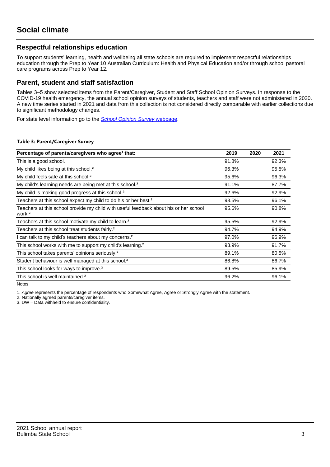## **Respectful relationships education**

To support students' learning, health and wellbeing all state schools are required to implement respectful relationships education through the Prep to Year 10 Australian Curriculum: Health and Physical Education and/or through school pastoral care programs across Prep to Year 12.

### **Parent, student and staff satisfaction**

Tables 3–5 show selected items from the Parent/Caregiver, Student and Staff School Opinion Surveys. In response to the COVID-19 health emergency, the annual school opinion surveys of students, teachers and staff were not administered in 2020. A new time series started in 2021 and data from this collection is not considered directly comparable with earlier collections due to significant methodology changes.

For state level information go to the **[School Opinion Survey](https://qed.qld.gov.au/publications/reports/statistics/schooling/schools/schoolopinionsurvey) webpage**.

#### **Table 3: Parent/Caregiver Survey**

| Percentage of parents/caregivers who agree <sup>1</sup> that:                                               | 2019  | 2020 | 2021  |
|-------------------------------------------------------------------------------------------------------------|-------|------|-------|
| This is a good school.                                                                                      | 91.8% |      | 92.3% |
| My child likes being at this school. <sup>2</sup>                                                           | 96.3% |      | 95.5% |
| My child feels safe at this school. <sup>2</sup>                                                            | 95.6% |      | 96.3% |
| My child's learning needs are being met at this school. <sup>2</sup>                                        | 91.1% |      | 87.7% |
| My child is making good progress at this school. <sup>2</sup>                                               | 92.6% |      | 92.9% |
| Teachers at this school expect my child to do his or her best. <sup>2</sup>                                 | 98.5% |      | 96.1% |
| Teachers at this school provide my child with useful feedback about his or her school<br>work. <sup>2</sup> | 95.6% |      | 90.8% |
| Teachers at this school motivate my child to learn. <sup>2</sup>                                            | 95.5% |      | 92.9% |
| Teachers at this school treat students fairly. <sup>2</sup>                                                 | 94.7% |      | 94.9% |
| I can talk to my child's teachers about my concerns. <sup>2</sup>                                           | 97.0% |      | 96.9% |
| This school works with me to support my child's learning. <sup>2</sup>                                      | 93.9% |      | 91.7% |
| This school takes parents' opinions seriously. <sup>2</sup>                                                 | 89.1% |      | 80.5% |
| Student behaviour is well managed at this school. <sup>2</sup>                                              | 86.8% |      | 86.7% |
| This school looks for ways to improve. <sup>2</sup>                                                         | 89.5% |      | 85.9% |
| This school is well maintained. <sup>2</sup>                                                                | 96.2% |      | 96.1% |

Notes

1. Agree represents the percentage of respondents who Somewhat Agree, Agree or Strongly Agree with the statement.

2. Nationally agreed parents/caregiver items.

3. DW = Data withheld to ensure confidentiality.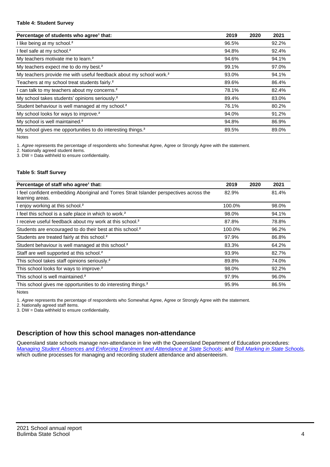#### **Table 4: Student Survey**

| Percentage of students who agree <sup>1</sup> that:                            | 2019  | 2020 | 2021  |
|--------------------------------------------------------------------------------|-------|------|-------|
| I like being at my school. <sup>2</sup>                                        | 96.5% |      | 92.2% |
| I feel safe at my school. <sup>2</sup>                                         | 94.8% |      | 92.4% |
| My teachers motivate me to learn. <sup>2</sup>                                 | 94.6% |      | 94.1% |
| My teachers expect me to do my best. <sup>2</sup>                              | 99.1% |      | 97.0% |
| My teachers provide me with useful feedback about my school work. <sup>2</sup> | 93.0% |      | 94.1% |
| Teachers at my school treat students fairly. <sup>2</sup>                      | 89.6% |      | 86.4% |
| I can talk to my teachers about my concerns. <sup>2</sup>                      | 78.1% |      | 82.4% |
| My school takes students' opinions seriously. <sup>2</sup>                     | 89.4% |      | 83.0% |
| Student behaviour is well managed at my school. <sup>2</sup>                   | 76.1% |      | 80.2% |
| My school looks for ways to improve. <sup>2</sup>                              | 94.0% |      | 91.2% |
| My school is well maintained. <sup>2</sup>                                     | 94.8% |      | 86.9% |
| My school gives me opportunities to do interesting things. <sup>2</sup>        | 89.5% |      | 89.0% |

Notes

1. Agree represents the percentage of respondents who Somewhat Agree, Agree or Strongly Agree with the statement.

2. Nationally agreed student items.

3. DW = Data withheld to ensure confidentiality.

#### **Table 5: Staff Survey**

| Percentage of staff who agree <sup>1</sup> that:                                                            | 2019   | 2020 | 2021  |
|-------------------------------------------------------------------------------------------------------------|--------|------|-------|
| I feel confident embedding Aboriginal and Torres Strait Islander perspectives across the<br>learning areas. | 82.9%  |      | 81.4% |
| I enjoy working at this school. <sup>2</sup>                                                                | 100.0% |      | 98.0% |
| I feel this school is a safe place in which to work. <sup>2</sup>                                           | 98.0%  |      | 94.1% |
| I receive useful feedback about my work at this school. <sup>2</sup>                                        | 87.8%  |      | 78.8% |
| Students are encouraged to do their best at this school. <sup>2</sup>                                       | 100.0% |      | 96.2% |
| Students are treated fairly at this school. <sup>2</sup>                                                    | 97.9%  |      | 86.8% |
| Student behaviour is well managed at this school. <sup>2</sup>                                              | 83.3%  |      | 64.2% |
| Staff are well supported at this school. <sup>2</sup>                                                       | 93.9%  |      | 82.7% |
| This school takes staff opinions seriously. <sup>2</sup>                                                    | 89.8%  |      | 74.0% |
| This school looks for ways to improve. <sup>2</sup>                                                         | 98.0%  |      | 92.2% |
| This school is well maintained. <sup>2</sup>                                                                | 97.9%  |      | 96.0% |
| This school gives me opportunities to do interesting things. <sup>2</sup>                                   | 95.9%  |      | 86.5% |

Notes

1. Agree represents the percentage of respondents who Somewhat Agree, Agree or Strongly Agree with the statement.

2. Nationally agreed staff items.

3. DW = Data withheld to ensure confidentiality.

## **Description of how this school manages non-attendance**

Queensland state schools manage non-attendance in line with the Queensland Department of Education procedures: [Managing Student Absences and Enforcing Enrolment and Attendance at State Schools](https://ppr.qed.qld.gov.au/pp/managing-student-absences-and-enforcing-enrolment-and-attendance-at-state-schools-procedure); and [Roll Marking in State Schools,](https://ppr.qed.qld.gov.au/pp/roll-marking-in-state-schools-procedure) which outline processes for managing and recording student attendance and absenteeism.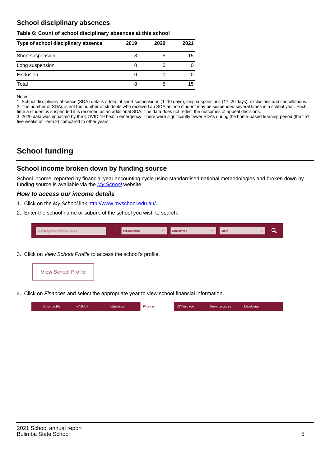## **School disciplinary absences**

#### **Table 6: Count of school disciplinary absences at this school**

| Type of school disciplinary absence | 2019 | 2020 | 2021 |
|-------------------------------------|------|------|------|
| Short suspension                    | ö    | b    | 15   |
| Long suspension                     | U    |      |      |
| Exclusion                           |      |      |      |
| Total                               | 8    | b    | 15   |

Notes

1. School disciplinary absence (SDA) data is a total of short suspensions (1–10 days), long suspensions (11–20 days), exclusions and cancellations. 2. The number of SDAs is not the number of students who received an SDA as one student may be suspended several times in a school year. Each time a student is suspended it is recorded as an additional SDA. The data does not reflect the outcomes of appeal decisions.

3. 2020 data was impacted by the COVID-19 health emergency. There were significantly fewer SDAs during the home-based learning period (the first five weeks of Term 2) compared to other years.

# **School funding**

## **School income broken down by funding source**

School income, reported by financial year accounting cycle using standardised national methodologies and broken down by funding source is available via the  $My$  School website.

#### **How to access our income details**

- 1. Click on the My School link <http://www.myschool.edu.au/>.
- 2. Enter the school name or suburb of the school you wish to search.

|  | Search by school name or suburb |  | <b>School sector</b> |  | $\sim$ and $\sim$ represents the set of $\sim$ | <b>State</b> |  |  |  |
|--|---------------------------------|--|----------------------|--|------------------------------------------------|--------------|--|--|--|
|--|---------------------------------|--|----------------------|--|------------------------------------------------|--------------|--|--|--|

3. Click on View School Profile to access the school's profile.



4. Click on Finances and select the appropriate year to view school financial information.

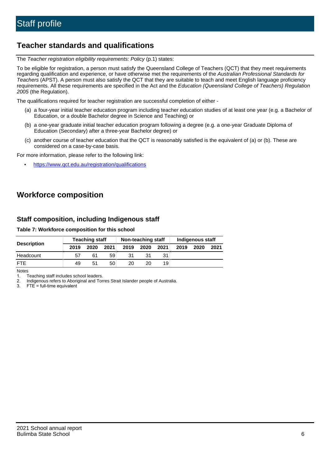# **Teacher standards and qualifications**

The Teacher registration eligibility requirements: Policy (p.1) states:

To be eligible for registration, a person must satisfy the Queensland College of Teachers (QCT) that they meet requirements regarding qualification and experience, or have otherwise met the requirements of the Australian Professional Standards for Teachers (APST). A person must also satisfy the QCT that they are suitable to teach and meet English language proficiency requirements. All these requirements are specified in the Act and the Education (Queensland College of Teachers) Regulation 2005 (the Regulation).

The qualifications required for teacher registration are successful completion of either -

- (a) a four-year initial teacher education program including teacher education studies of at least one year (e.g. a Bachelor of Education, or a double Bachelor degree in Science and Teaching) or
- (b) a one-year graduate initial teacher education program following a degree (e.g. a one-year Graduate Diploma of Education (Secondary) after a three-year Bachelor degree) or
- (c) another course of teacher education that the QCT is reasonably satisfied is the equivalent of (a) or (b). These are considered on a case-by-case basis.

For more information, please refer to the following link:

• <https://www.qct.edu.au/registration/qualifications>

# **Workforce composition**

## **Staff composition, including Indigenous staff**

#### **Table 7: Workforce composition for this school**

| <b>Teaching staff</b> |      |      |      |      | Non-teaching staff | Indigenous staff |      |      |      |
|-----------------------|------|------|------|------|--------------------|------------------|------|------|------|
| <b>Description</b>    | 2019 | 2020 | 2021 | 2019 | 2020               | 2021             | 2019 | 2020 | 2021 |
| Headcount             | 57   | 61   | 59   | 31   |                    |                  |      |      |      |
| <b>FTE</b>            | 49   | 51   | 50   | 20   | 20                 | 19               |      |      |      |

Notes

1. Teaching staff includes school leaders.

2. Indigenous refers to Aboriginal and Torres Strait Islander people of Australia.

3. FTE = full-time equivalent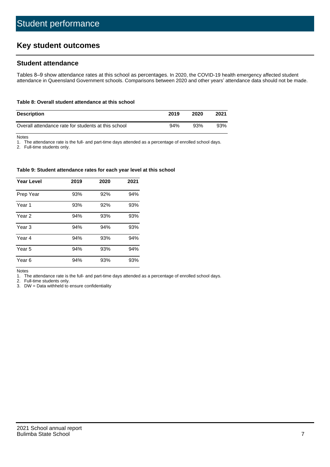# **Key student outcomes**

## **Student attendance**

Tables 8–9 show attendance rates at this school as percentages. In 2020, the COVID-19 health emergency affected student attendance in Queensland Government schools. Comparisons between 2020 and other years' attendance data should not be made.

#### **Table 8: Overall student attendance at this school**

| <b>Description</b>                                  | 2019 | 2020 | 2021 |
|-----------------------------------------------------|------|------|------|
| Overall attendance rate for students at this school | 94%  | 93%  | 93%  |

Notes

1. The attendance rate is the full- and part-time days attended as a percentage of enrolled school days.

2. Full-time students only.

#### **Table 9: Student attendance rates for each year level at this school**

| <b>Year Level</b> | 2019 | 2020 | 2021 |
|-------------------|------|------|------|
| Prep Year         | 93%  | 92%  | 94%  |
| Year <sub>1</sub> | 93%  | 92%  | 93%  |
| Year 2            | 94%  | 93%  | 93%  |
| Year 3            | 94%  | 94%  | 93%  |
| Year 4            | 94%  | 93%  | 94%  |
| Year 5            | 94%  | 93%  | 94%  |
| Year <sub>6</sub> | 94%  | 93%  | 93%  |

Notes

1. The attendance rate is the full- and part-time days attended as a percentage of enrolled school days.

2. Full-time students only.

3. DW = Data withheld to ensure confidentiality